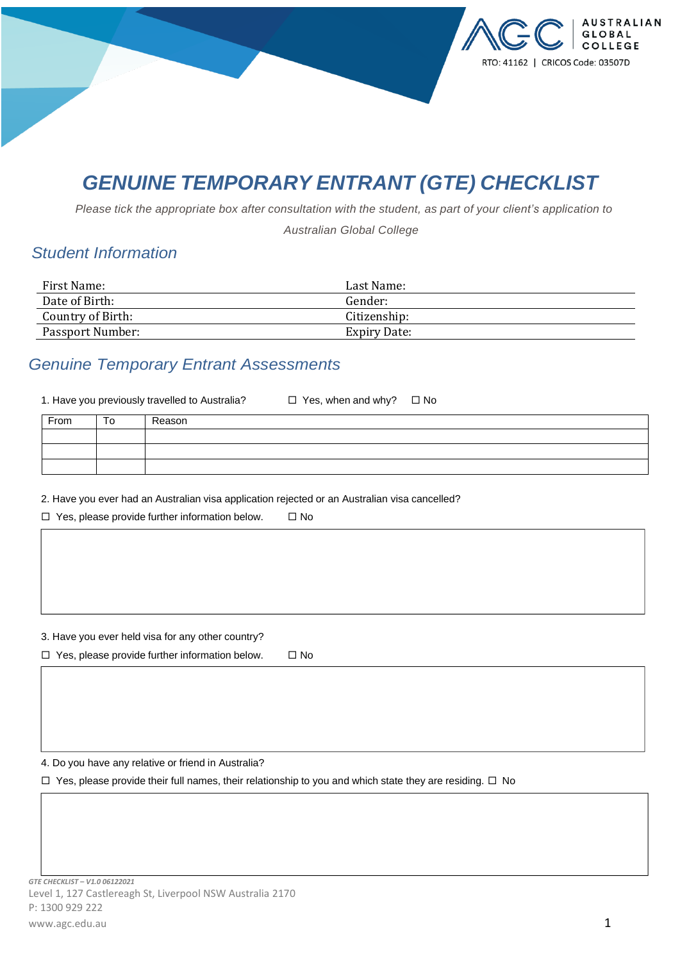

# *GENUINE TEMPORARY ENTRANT (GTE) CHECKLIST*

Please tick the appropriate box after consultation with the student, as part of your client's application to

*Australian Global College*

## *Student Information*

| First Name:       | Last Name:   |
|-------------------|--------------|
| Date of Birth:    | Gender:      |
| Country of Birth: | Citizenship: |
| Passport Number:  | Expiry Date: |

### *Genuine Temporary Entrant Assessments*

1. Have you previously travelled to Australia?  $\Box$  Yes, when and why?  $\Box$  No

| From | ີ | Reason |
|------|---|--------|
|      |   |        |
|      |   |        |
|      |   |        |

2. Have you ever had an Australian visa application rejected or an Australian visa cancelled?

 $\Box$  Yes, please provide further information below.  $\Box$  No

3. Have you ever held visa for any other country?

 $\Box$  Yes, please provide further information below.  $\Box$  No

4. Do you have any relative or friend in Australia?

 $\Box$  Yes, please provide their full names, their relationship to you and which state they are residing.  $\Box$  No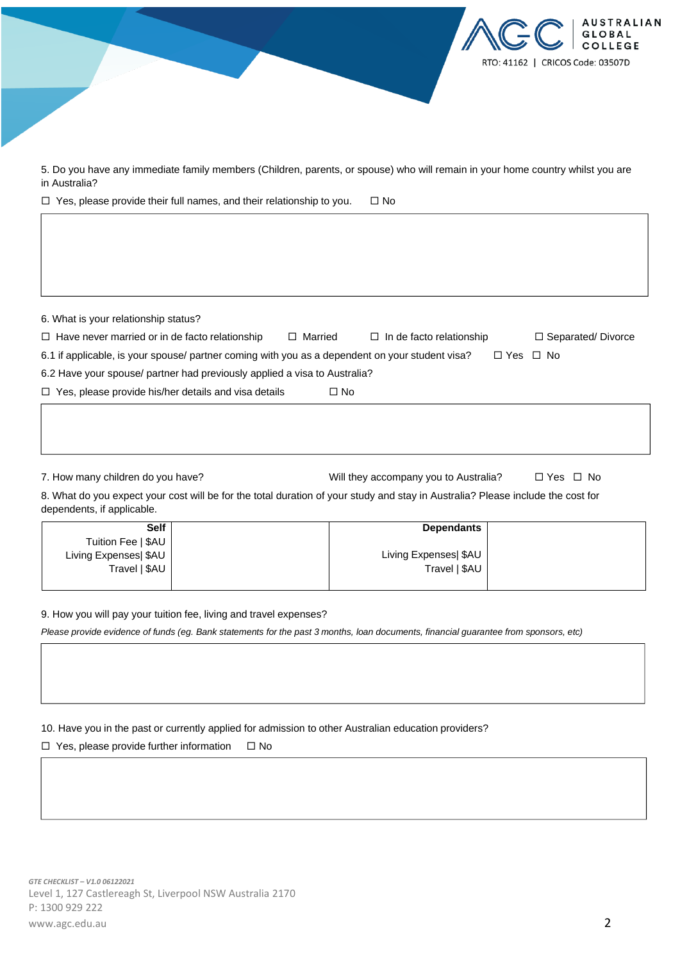

| 6. What is your relationship status?                                                            |                |                                 |                      |                          |
|-------------------------------------------------------------------------------------------------|----------------|---------------------------------|----------------------|--------------------------|
| $\Box$ Have never married or in de facto relationship                                           | $\Box$ Married | $\Box$ In de facto relationship |                      | $\Box$ Separated/Divorce |
| 6.1 if applicable, is your spouse/ partner coming with you as a dependent on your student visa? |                |                                 | $\Box$ Yes $\Box$ No |                          |
| 6.2 Have your spouse/ partner had previously applied a visa to Australia?                       |                |                                 |                      |                          |
| $\Box$ Yes, please provide his/her details and visa details                                     | $\Box$ No      |                                 |                      |                          |
|                                                                                                 |                |                                 |                      |                          |

7. How many children do you have? <br>
Will they accompany you to Australia? 
□ Yes □ No

8. What do you expect your cost will be for the total duration of your study and stay in Australia? Please include the cost for dependents, if applicable.

| <b>Self</b>           | <b>Dependants</b>     |  |
|-----------------------|-----------------------|--|
| Tuition Fee   \$AU    |                       |  |
| Living Expenses  \$AU | Living Expenses  \$AU |  |
| Travel   \$AU         | Travel   \$AU         |  |
|                       |                       |  |

9. How you will pay your tuition fee, living and travel expenses?

Please provide evidence of funds (eq. Bank statements for the past 3 months, loan documents, financial quarantee from sponsors, etc)

#### 10. Have you in the past or currently applied for admission to other Australian education providers?

 $\Box$  Yes, please provide further information  $\Box$  No

**AUSTRALIAN** OBAL **COLLEGE** 

RTO: 41162 | CRICOS Code: 03507D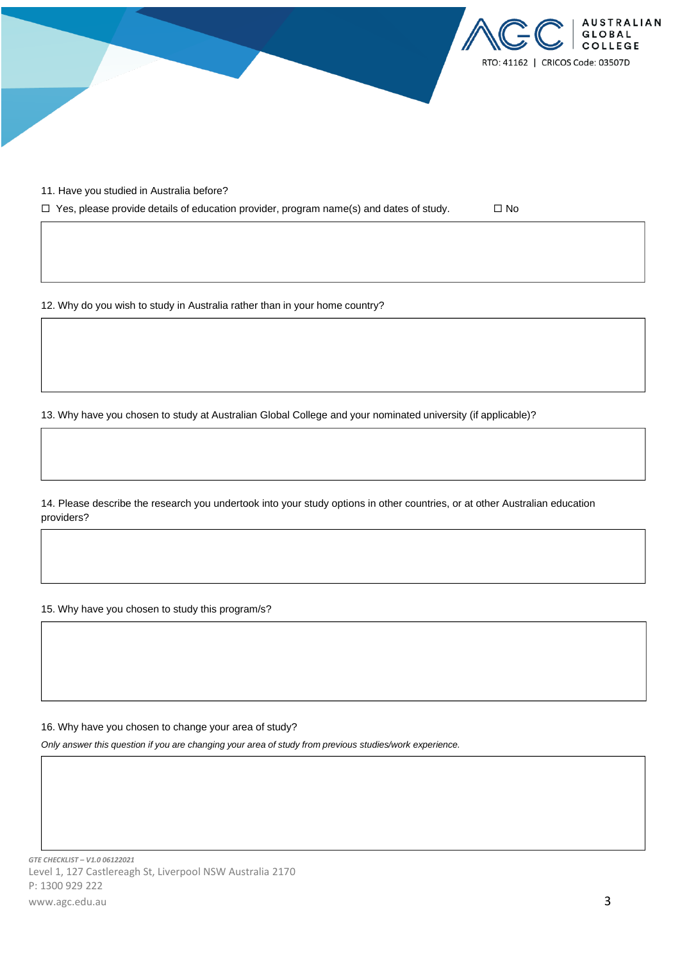

11. Have you studied in Australia before?

 $\Box$  Yes, please provide details of education provider, program name(s) and dates of study.  $\Box$  No

12. Why do you wish to study in Australia rather than in your home country?

13. Why have you chosen to study at Australian Global College and your nominated university (if applicable)?

14. Please describe the research you undertook into your study options in other countries, or at other Australian education providers?

15. Why have you chosen to study this program/s?

16. Why have you chosen to change your area of study?

*Only answer this question if you are changing your area of study from previous studies/work experience.*

*GTE CHECKLIST – V1.0 06122021* Level 1, 127 Castlereagh St, Liverpool NSW Australia 2170 P: 1300 929 222 www.agc.edu.au 3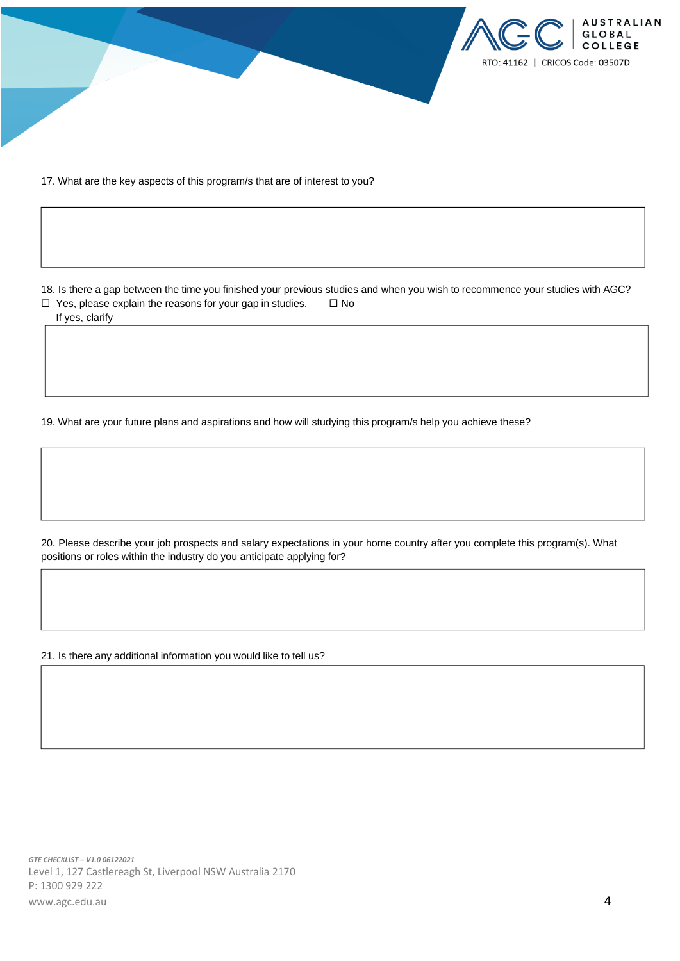

17. What are the key aspects of this program/s that are of interest to you?

18. Is there a gap between the time you finished your previous studies and when you wish to recommence your studies with AGC?  $\Box$  Yes, please explain the reasons for your gap in studies.  $\Box$  No

If yes, clarify

19. What are your future plans and aspirations and how will studying this program/s help you achieve these?

20. Please describe your job prospects and salary expectations in your home country after you complete this program(s). What positions or roles within the industry do you anticipate applying for?

21. Is there any additional information you would like to tell us?

*GTE CHECKLIST – V1.0 06122021* Level 1, 127 Castlereagh St, Liverpool NSW Australia 2170 P: 1300 929 222 www.agc.edu.au **4**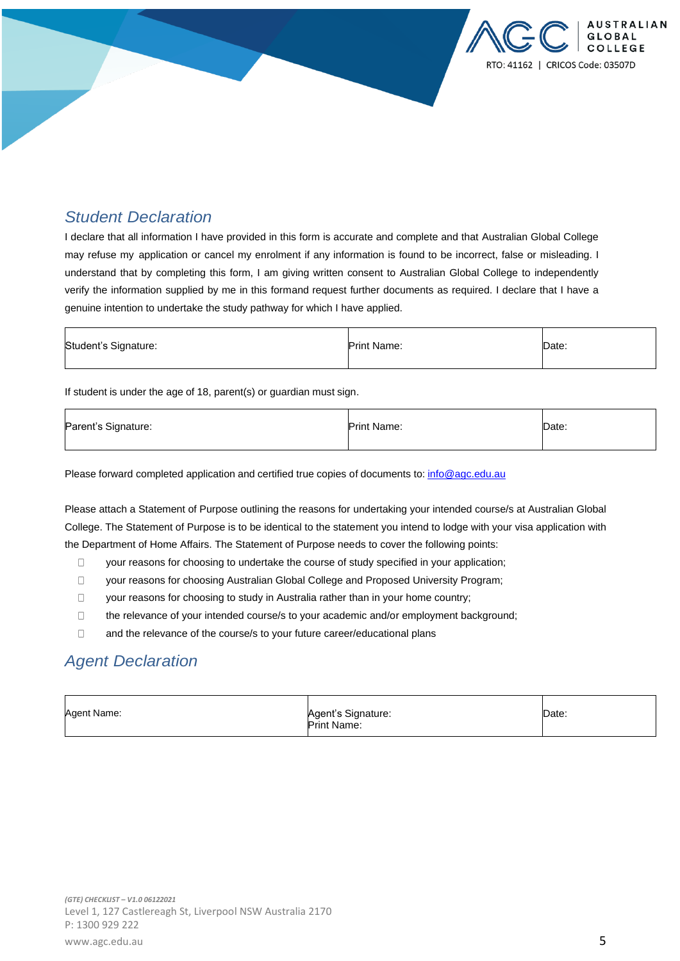### *Student Declaration*

I declare that all information I have provided in this form is accurate and complete and that Australian Global College may refuse my application or cancel my enrolment if any information is found to be incorrect, false or misleading. I understand that by completing this form, I am giving written consent to Australian Global College to independently verify the information supplied by me in this formand request further documents as required. I declare that I have a genuine intention to undertake the study pathway for which I have applied.

| Student's Signature: | <b>Print Name:</b> | Date: |
|----------------------|--------------------|-------|
|----------------------|--------------------|-------|

If student is under the age of 18, parent(s) or guardian must sign.

| Parent's Signature: | <b>Print Name:</b> | Date: |
|---------------------|--------------------|-------|
|---------------------|--------------------|-------|

Please forward completed application and certified true copies of documents to: [info@agc.edu.au](mailto:info@agc.edu.au)

Please attach a Statement of Purpose outlining the reasons for undertaking your intended course/s at Australian Global College. The Statement of Purpose is to be identical to the statement you intend to lodge with your visa application with the Department of Home Affairs. The Statement of Purpose needs to cover the following points:

- $\Box$ your reasons for choosing to undertake the course of study specified in your application;
- $\Box$ your reasons for choosing Australian Global College and Proposed University Program;
- $\Box$ your reasons for choosing to study in Australia rather than in your home country;
- the relevance of your intended course/s to your academic and/or employment background;  $\Box$
- $\Box$ and the relevance of the course/s to your future career/educational plans

### *Agent Declaration*

| Agent Name: | Agent's Signature: | Date: |
|-------------|--------------------|-------|
|             | <b>Print Name:</b> |       |

USTRALIAN **GLOBAL** 

RTO: 41162 | CRICOS Code: 03507D